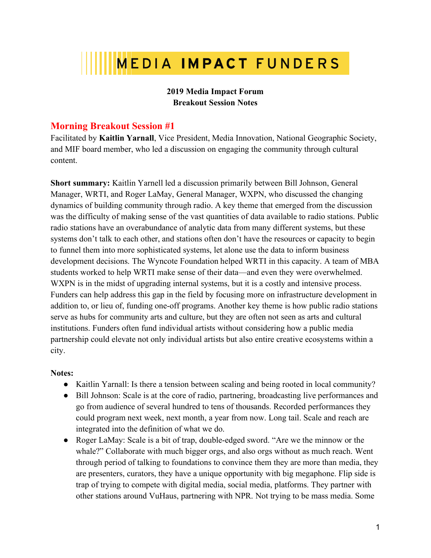# **MEDIA IMPACT FUNDERS**

## **2019 Media Impact Forum Breakout Session Notes**

## **Morning Breakout Session #1**

Facilitated by **Kaitlin Yarnall**, Vice President, Media Innovation, National Geographic Society, and MIF board member, who led a discussion on engaging the community through cultural content.

**Short summary:** Kaitlin Yarnell led a discussion primarily between Bill Johnson, General Manager, WRTI, and Roger LaMay, General Manager, WXPN, who discussed the changing dynamics of building community through radio. A key theme that emerged from the discussion was the difficulty of making sense of the vast quantities of data available to radio stations. Public radio stations have an overabundance of analytic data from many different systems, but these systems don't talk to each other, and stations often don't have the resources or capacity to begin to funnel them into more sophisticated systems, let alone use the data to inform business development decisions. The Wyncote Foundation helped WRTI in this capacity. A team of MBA students worked to help WRTI make sense of their data—and even they were overwhelmed. WXPN is in the midst of upgrading internal systems, but it is a costly and intensive process. Funders can help address this gap in the field by focusing more on infrastructure development in addition to, or lieu of, funding one-off programs. Another key theme is how public radio stations serve as hubs for community arts and culture, but they are often not seen as arts and cultural institutions. Funders often fund individual artists without considering how a public media partnership could elevate not only individual artists but also entire creative ecosystems within a city.

## **Notes:**

- Kaitlin Yarnall: Is there a tension between scaling and being rooted in local community?
- Bill Johnson: Scale is at the core of radio, partnering, broadcasting live performances and go from audience of several hundred to tens of thousands. Recorded performances they could program next week, next month, a year from now. Long tail. Scale and reach are integrated into the definition of what we do.
- Roger LaMay: Scale is a bit of trap, double-edged sword. "Are we the minnow or the whale?" Collaborate with much bigger orgs, and also orgs without as much reach. Went through period of talking to foundations to convince them they are more than media, they are presenters, curators, they have a unique opportunity with big megaphone. Flip side is trap of trying to compete with digital media, social media, platforms. They partner with other stations around VuHaus, partnering with NPR. Not trying to be mass media. Some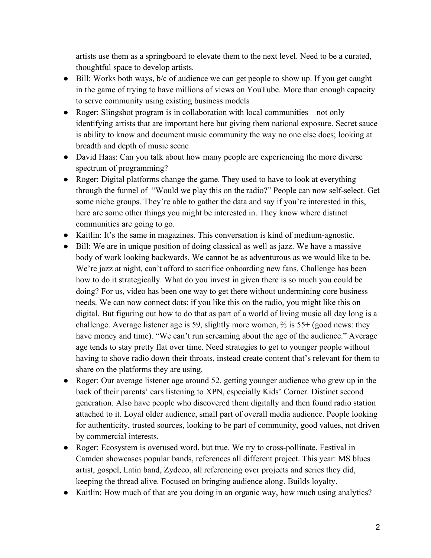artists use them as a springboard to elevate them to the next level. Need to be a curated, thoughtful space to develop artists.

- Bill: Works both ways, b/c of audience we can get people to show up. If you get caught in the game of trying to have millions of views on YouTube. More than enough capacity to serve community using existing business models
- Roger: Slingshot program is in collaboration with local communities—not only identifying artists that are important here but giving them national exposure. Secret sauce is ability to know and document music community the way no one else does; looking at breadth and depth of music scene
- David Haas: Can you talk about how many people are experiencing the more diverse spectrum of programming?
- Roger: Digital platforms change the game. They used to have to look at everything through the funnel of "Would we play this on the radio?" People can now self-select. Get some niche groups. They're able to gather the data and say if you're interested in this, here are some other things you might be interested in. They know where distinct communities are going to go.
- Kaitlin: It's the same in magazines. This conversation is kind of medium-agnostic.
- Bill: We are in unique position of doing classical as well as jazz. We have a massive body of work looking backwards. We cannot be as adventurous as we would like to be. We're jazz at night, can't afford to sacrifice onboarding new fans. Challenge has been how to do it strategically. What do you invest in given there is so much you could be doing? For us, video has been one way to get there without undermining core business needs. We can now connect dots: if you like this on the radio, you might like this on digital. But figuring out how to do that as part of a world of living music all day long is a challenge. Average listener age is 59, slightly more women, ⅔ is 55+ (good news: they have money and time). "We can't run screaming about the age of the audience." Average age tends to stay pretty flat over time. Need strategies to get to younger people without having to shove radio down their throats, instead create content that's relevant for them to share on the platforms they are using.
- Roger: Our average listener age around 52, getting younger audience who grew up in the back of their parents' cars listening to XPN, especially Kids' Corner. Distinct second generation. Also have people who discovered them digitally and then found radio station attached to it. Loyal older audience, small part of overall media audience. People looking for authenticity, trusted sources, looking to be part of community, good values, not driven by commercial interests.
- Roger: Ecosystem is overused word, but true. We try to cross-pollinate. Festival in Camden showcases popular bands, references all different project. This year: MS blues artist, gospel, Latin band, Zydeco, all referencing over projects and series they did, keeping the thread alive. Focused on bringing audience along. Builds loyalty.
- Kaitlin: How much of that are you doing in an organic way, how much using analytics?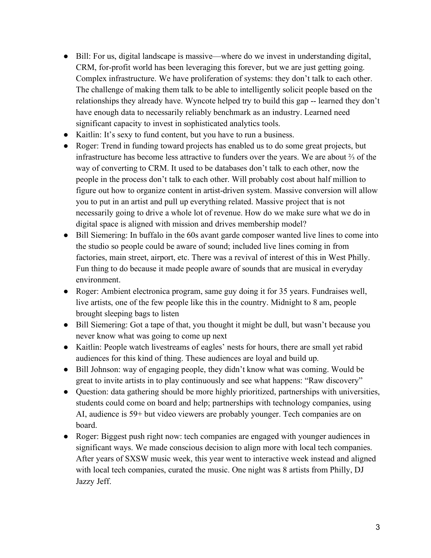- Bill: For us, digital landscape is massive—where do we invest in understanding digital, CRM, for-profit world has been leveraging this forever, but we are just getting going. Complex infrastructure. We have proliferation of systems: they don't talk to each other. The challenge of making them talk to be able to intelligently solicit people based on the relationships they already have. Wyncote helped try to build this gap -- learned they don't have enough data to necessarily reliably benchmark as an industry. Learned need significant capacity to invest in sophisticated analytics tools.
- Kaitlin: It's sexy to fund content, but you have to run a business.
- Roger: Trend in funding toward projects has enabled us to do some great projects, but infrastructure has become less attractive to funders over the years. We are about ⅔ of the way of converting to CRM. It used to be databases don't talk to each other, now the people in the process don't talk to each other. Will probably cost about half million to figure out how to organize content in artist-driven system. Massive conversion will allow you to put in an artist and pull up everything related. Massive project that is not necessarily going to drive a whole lot of revenue. How do we make sure what we do in digital space is aligned with mission and drives membership model?
- Bill Siemering: In buffalo in the 60s avant garde composer wanted live lines to come into the studio so people could be aware of sound; included live lines coming in from factories, main street, airport, etc. There was a revival of interest of this in West Philly. Fun thing to do because it made people aware of sounds that are musical in everyday environment.
- Roger: Ambient electronica program, same guy doing it for 35 years. Fundraises well, live artists, one of the few people like this in the country. Midnight to 8 am, people brought sleeping bags to listen
- Bill Siemering: Got a tape of that, you thought it might be dull, but wasn't because you never know what was going to come up next
- Kaitlin: People watch livestreams of eagles' nests for hours, there are small yet rabid audiences for this kind of thing. These audiences are loyal and build up.
- Bill Johnson: way of engaging people, they didn't know what was coming. Would be great to invite artists in to play continuously and see what happens: "Raw discovery"
- Question: data gathering should be more highly prioritized, partnerships with universities, students could come on board and help; partnerships with technology companies, using AI, audience is 59+ but video viewers are probably younger. Tech companies are on board.
- Roger: Biggest push right now: tech companies are engaged with younger audiences in significant ways. We made conscious decision to align more with local tech companies. After years of SXSW music week, this year went to interactive week instead and aligned with local tech companies, curated the music. One night was 8 artists from Philly, DJ Jazzy Jeff.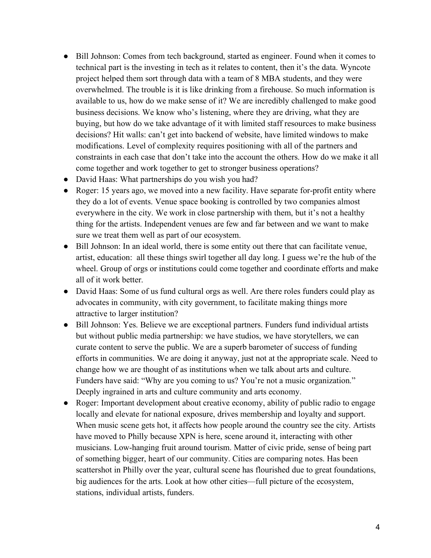- Bill Johnson: Comes from tech background, started as engineer. Found when it comes to technical part is the investing in tech as it relates to content, then it's the data. Wyncote project helped them sort through data with a team of 8 MBA students, and they were overwhelmed. The trouble is it is like drinking from a firehouse. So much information is available to us, how do we make sense of it? We are incredibly challenged to make good business decisions. We know who's listening, where they are driving, what they are buying, but how do we take advantage of it with limited staff resources to make business decisions? Hit walls: can't get into backend of website, have limited windows to make modifications. Level of complexity requires positioning with all of the partners and constraints in each case that don't take into the account the others. How do we make it all come together and work together to get to stronger business operations?
- David Haas: What partnerships do you wish you had?
- Roger: 15 years ago, we moved into a new facility. Have separate for-profit entity where they do a lot of events. Venue space booking is controlled by two companies almost everywhere in the city. We work in close partnership with them, but it's not a healthy thing for the artists. Independent venues are few and far between and we want to make sure we treat them well as part of our ecosystem.
- Bill Johnson: In an ideal world, there is some entity out there that can facilitate venue, artist, education: all these things swirl together all day long. I guess we're the hub of the wheel. Group of orgs or institutions could come together and coordinate efforts and make all of it work better.
- David Haas: Some of us fund cultural orgs as well. Are there roles funders could play as advocates in community, with city government, to facilitate making things more attractive to larger institution?
- Bill Johnson: Yes. Believe we are exceptional partners. Funders fund individual artists but without public media partnership: we have studios, we have storytellers, we can curate content to serve the public. We are a superb barometer of success of funding efforts in communities. We are doing it anyway, just not at the appropriate scale. Need to change how we are thought of as institutions when we talk about arts and culture. Funders have said: "Why are you coming to us? You're not a music organization." Deeply ingrained in arts and culture community and arts economy.
- Roger: Important development about creative economy, ability of public radio to engage locally and elevate for national exposure, drives membership and loyalty and support. When music scene gets hot, it affects how people around the country see the city. Artists have moved to Philly because XPN is here, scene around it, interacting with other musicians. Low-hanging fruit around tourism. Matter of civic pride, sense of being part of something bigger, heart of our community. Cities are comparing notes. Has been scattershot in Philly over the year, cultural scene has flourished due to great foundations, big audiences for the arts. Look at how other cities—full picture of the ecosystem, stations, individual artists, funders.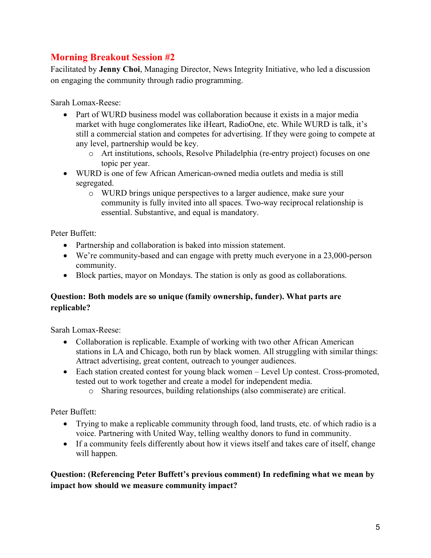## **Morning Breakout Session #2**

Facilitated by **Jenny Choi**, Managing Director, News Integrity Initiative, who led a discussion on engaging the community through radio programming.

Sarah Lomax-Reese:

- Part of WURD business model was collaboration because it exists in a major media market with huge conglomerates like iHeart, RadioOne, etc. While WURD is talk, it's still a commercial station and competes for advertising. If they were going to compete at any level, partnership would be key.
	- o Art institutions, schools, Resolve Philadelphia (re-entry project) focuses on one topic per year.
- WURD is one of few African American-owned media outlets and media is still segregated.
	- o WURD brings unique perspectives to a larger audience, make sure your community is fully invited into all spaces. Two-way reciprocal relationship is essential. Substantive, and equal is mandatory.

Peter Buffett:

- Partnership and collaboration is baked into mission statement.
- We're community-based and can engage with pretty much everyone in a 23,000-person community.
- Block parties, mayor on Mondays. The station is only as good as collaborations.

## **Question: Both models are so unique (family ownership, funder). What parts are replicable?**

Sarah Lomax-Reese:

- Collaboration is replicable. Example of working with two other African American stations in LA and Chicago, both run by black women. All struggling with similar things: Attract advertising, great content, outreach to younger audiences.
- Each station created contest for young black women Level Up contest. Cross-promoted, tested out to work together and create a model for independent media.
	- o Sharing resources, building relationships (also commiserate) are critical.

Peter Buffett:

- Trying to make a replicable community through food, land trusts, etc. of which radio is a voice. Partnering with United Way, telling wealthy donors to fund in community.
- If a community feels differently about how it views itself and takes care of itself, change will happen.

## **Question: (Referencing Peter Buffett's previous comment) In redefining what we mean by impact how should we measure community impact?**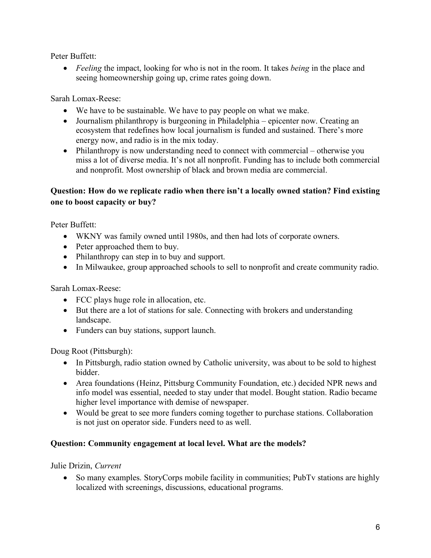Peter Buffett:

• *Feeling* the impact, looking for who is not in the room. It takes *being* in the place and seeing homeownership going up, crime rates going down.

Sarah Lomax-Reese:

- We have to be sustainable. We have to pay people on what we make.
- Journalism philanthropy is burgeoning in Philadelphia epicenter now. Creating an ecosystem that redefines how local journalism is funded and sustained. There's more energy now, and radio is in the mix today.
- Philanthropy is now understanding need to connect with commercial otherwise you miss a lot of diverse media. It's not all nonprofit. Funding has to include both commercial and nonprofit. Most ownership of black and brown media are commercial.

## **Question: How do we replicate radio when there isn't a locally owned station? Find existing one to boost capacity or buy?**

Peter Buffett:

- WKNY was family owned until 1980s, and then had lots of corporate owners.
- Peter approached them to buy.
- Philanthropy can step in to buy and support.
- In Milwaukee, group approached schools to sell to nonprofit and create community radio.

Sarah Lomax-Reese:

- FCC plays huge role in allocation, etc.
- But there are a lot of stations for sale. Connecting with brokers and understanding landscape.
- Funders can buy stations, support launch.

Doug Root (Pittsburgh):

- In Pittsburgh, radio station owned by Catholic university, was about to be sold to highest bidder.
- Area foundations (Heinz, Pittsburg Community Foundation, etc.) decided NPR news and info model was essential, needed to stay under that model. Bought station. Radio became higher level importance with demise of newspaper.
- Would be great to see more funders coming together to purchase stations. Collaboration is not just on operator side. Funders need to as well.

## **Question: Community engagement at local level. What are the models?**

Julie Drizin, *Current*

• So many examples. StoryCorps mobile facility in communities; PubTv stations are highly localized with screenings, discussions, educational programs.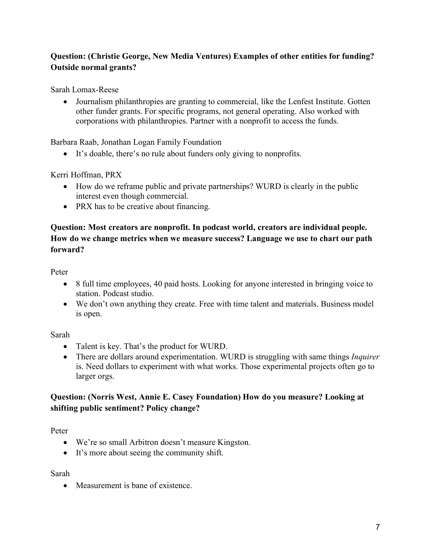## **Question: (Christie George, New Media Ventures) Examples of other entities for funding? Outside normal grants?**

Sarah Lomax-Reese

• Journalism philanthropies are granting to commercial, like the Lenfest Institute. Gotten other funder grants. For specific programs, not general operating. Also worked with corporations with philanthropies. Partner with a nonprofit to access the funds.

Barbara Raab, Jonathan Logan Family Foundation

• It's doable, there's no rule about funders only giving to nonprofits.

Kerri Hoffman, PRX

- How do we reframe public and private partnerships? WURD is clearly in the public interest even though commercial.
- PRX has to be creative about financing.

## **Question: Most creators are nonprofit. In podcast world, creators are individual people. How do we change metrics when we measure success? Language we use to chart our path forward?**

Peter

- 8 full time employees, 40 paid hosts. Looking for anyone interested in bringing voice to station. Podcast studio.
- We don't own anything they create. Free with time talent and materials. Business model is open.

## Sarah

- Talent is key. That's the product for WURD.
- There are dollars around experimentation. WURD is struggling with same things *Inquirer* is. Need dollars to experiment with what works. Those experimental projects often go to larger orgs.

## **Question: (Norris West, Annie E. Casey Foundation) How do you measure? Looking at shifting public sentiment? Policy change?**

Peter

- We're so small Arbitron doesn't measure Kingston.
- It's more about seeing the community shift.

Sarah

• Measurement is bane of existence.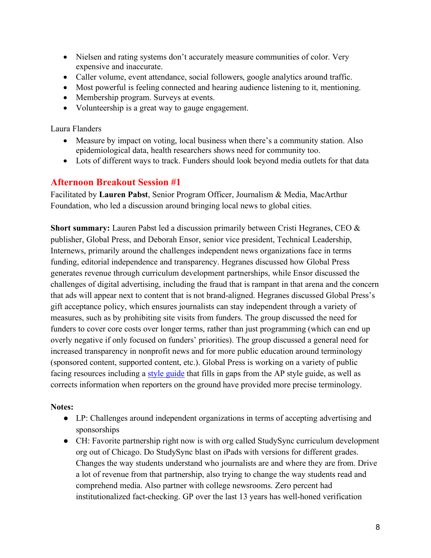- Nielsen and rating systems don't accurately measure communities of color. Very expensive and inaccurate.
- Caller volume, event attendance, social followers, google analytics around traffic.
- Most powerful is feeling connected and hearing audience listening to it, mentioning.
- Membership program. Surveys at events.
- Volunteership is a great way to gauge engagement.

Laura Flanders

- Measure by impact on voting, local business when there's a community station. Also epidemiological data, health researchers shows need for community too.
- Lots of different ways to track. Funders should look beyond media outlets for that data

## **Afternoon Breakout Session #1**

Facilitated by **Lauren Pabst**, Senior Program Officer, Journalism & Media, MacArthur Foundation, who led a discussion around bringing local news to global cities.

**Short summary:** Lauren Pabst led a discussion primarily between Cristi Hegranes, CEO & publisher, Global Press, and Deborah Ensor, senior vice president, Technical Leadership, Internews, primarily around the challenges independent news organizations face in terms funding, editorial independence and transparency. Hegranes discussed how Global Press generates revenue through curriculum development partnerships, while Ensor discussed the challenges of digital advertising, including the fraud that is rampant in that arena and the concern that ads will appear next to content that is not brand-aligned. Hegranes discussed Global Press's gift acceptance policy, which ensures journalists can stay independent through a variety of measures, such as by prohibiting site visits from funders. The group discussed the need for funders to cover core costs over longer terms, rather than just programming (which can end up overly negative if only focused on funders' priorities). The group discussed a general need for increased transparency in nonprofit news and for more public education around terminology (sponsored content, supported content, etc.). Global Press is working on a variety of public facing resources including a style guide that fills in gaps from the AP style guide, as well as corrects information when reporters on the ground have provided more precise terminology.

## **Notes:**

- LP: Challenges around independent organizations in terms of accepting advertising and sponsorships
- CH: Favorite partnership right now is with org called StudySync curriculum development org out of Chicago. Do StudySync blast on iPads with versions for different grades. Changes the way students understand who journalists are and where they are from. Drive a lot of revenue from that partnership, also trying to change the way students read and comprehend media. Also partner with college newsrooms. Zero percent had institutionalized fact-checking. GP over the last 13 years has well-honed verification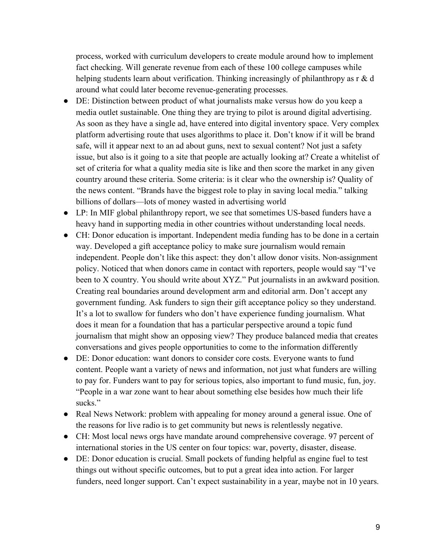process, worked with curriculum developers to create module around how to implement fact checking. Will generate revenue from each of these 100 college campuses while helping students learn about verification. Thinking increasingly of philanthropy as r & d around what could later become revenue-generating processes.

- DE: Distinction between product of what journalists make versus how do you keep a media outlet sustainable. One thing they are trying to pilot is around digital advertising. As soon as they have a single ad, have entered into digital inventory space. Very complex platform advertising route that uses algorithms to place it. Don't know if it will be brand safe, will it appear next to an ad about guns, next to sexual content? Not just a safety issue, but also is it going to a site that people are actually looking at? Create a whitelist of set of criteria for what a quality media site is like and then score the market in any given country around these criteria. Some criteria: is it clear who the ownership is? Quality of the news content. "Brands have the biggest role to play in saving local media." talking billions of dollars—lots of money wasted in advertising world
- LP: In MIF global philanthropy report, we see that sometimes US-based funders have a heavy hand in supporting media in other countries without understanding local needs.
- CH: Donor education is important. Independent media funding has to be done in a certain way. Developed a gift acceptance policy to make sure journalism would remain independent. People don't like this aspect: they don't allow donor visits. Non-assignment policy. Noticed that when donors came in contact with reporters, people would say "I've been to X country. You should write about XYZ." Put journalists in an awkward position. Creating real boundaries around development arm and editorial arm. Don't accept any government funding. Ask funders to sign their gift acceptance policy so they understand. It's a lot to swallow for funders who don't have experience funding journalism. What does it mean for a foundation that has a particular perspective around a topic fund journalism that might show an opposing view? They produce balanced media that creates conversations and gives people opportunities to come to the information differently
- DE: Donor education: want donors to consider core costs. Everyone wants to fund content. People want a variety of news and information, not just what funders are willing to pay for. Funders want to pay for serious topics, also important to fund music, fun, joy. "People in a war zone want to hear about something else besides how much their life sucks."
- Real News Network: problem with appealing for money around a general issue. One of the reasons for live radio is to get community but news is relentlessly negative.
- CH: Most local news orgs have mandate around comprehensive coverage. 97 percent of international stories in the US center on four topics: war, poverty, disaster, disease.
- DE: Donor education is crucial. Small pockets of funding helpful as engine fuel to test things out without specific outcomes, but to put a great idea into action. For larger funders, need longer support. Can't expect sustainability in a year, maybe not in 10 years.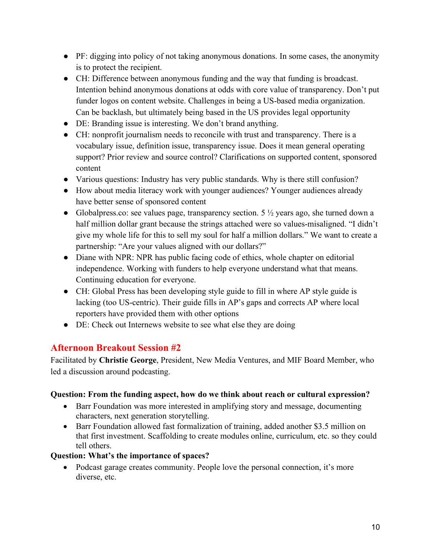- PF: digging into policy of not taking anonymous donations. In some cases, the anonymity is to protect the recipient.
- CH: Difference between anonymous funding and the way that funding is broadcast. Intention behind anonymous donations at odds with core value of transparency. Don't put funder logos on content website. Challenges in being a US-based media organization. Can be backlash, but ultimately being based in the US provides legal opportunity
- DE: Branding issue is interesting. We don't brand anything.
- CH: nonprofit journalism needs to reconcile with trust and transparency. There is a vocabulary issue, definition issue, transparency issue. Does it mean general operating support? Prior review and source control? Clarifications on supported content, sponsored content
- Various questions: Industry has very public standards. Why is there still confusion?
- How about media literacy work with younger audiences? Younger audiences already have better sense of sponsored content
- Globalpress.co: see values page, transparency section.  $5\frac{1}{2}$  years ago, she turned down a half million dollar grant because the strings attached were so values-misaligned. "I didn't give my whole life for this to sell my soul for half a million dollars." We want to create a partnership: "Are your values aligned with our dollars?"
- Diane with NPR: NPR has public facing code of ethics, whole chapter on editorial independence. Working with funders to help everyone understand what that means. Continuing education for everyone.
- CH: Global Press has been developing style guide to fill in where AP style guide is lacking (too US-centric). Their guide fills in AP's gaps and corrects AP where local reporters have provided them with other options
- DE: Check out Internews website to see what else they are doing

## **Afternoon Breakout Session #2**

Facilitated by **Christie George**, President, New Media Ventures, and MIF Board Member, who led a discussion around podcasting.

#### **Question: From the funding aspect, how do we think about reach or cultural expression?**

- Barr Foundation was more interested in amplifying story and message, documenting characters, next generation storytelling.
- Barr Foundation allowed fast formalization of training, added another \$3.5 million on that first investment. Scaffolding to create modules online, curriculum, etc. so they could tell others.

#### **Question: What's the importance of spaces?**

• Podcast garage creates community. People love the personal connection, it's more diverse, etc.